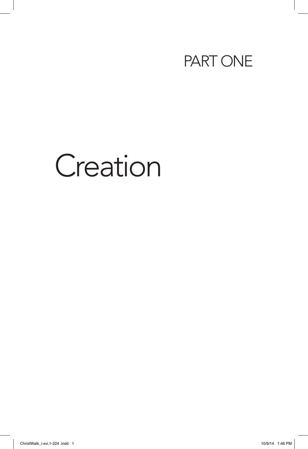

## Creation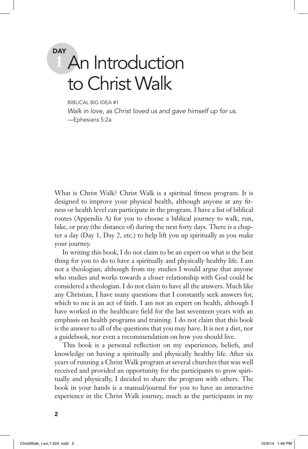## **DAY 1** An Introduction to Christ Walk

Biblical Big Idea #1 *Walk in love, as Christ loved us and gave himself up for us.*  —Ephesians 5:2a

What is Christ Walk? Christ Walk is a spiritual fitness program. It is designed to improve your physical health, although anyone at any fitness or health level can participate in the program. I have a list of biblical routes (Appendix A) for you to choose a biblical journey to walk, run, bike, or pray (the distance of) during the next forty days. There is a chapter a day (Day 1, Day 2, etc.) to help lift you up spiritually as you make your journey.

In writing this book, I do not claim to be an expert on what is the best thing for you to do to have a spiritually and physically healthy life. I am not a theologian, although from my studies I would argue that anyone who studies and works towards a closer relationship with God could be considered a theologian. I do not claim to have all the answers. Much like any Christian, I have many questions that I constantly seek answers for, which to me is an act of faith. I am not an expert on health, although I have worked in the healthcare field for the last seventeen years with an emphasis on health programs and training. I do not claim that this book is the answer to all of the questions that you may have. It is not a diet, nor a guidebook, nor even a recommendation on how you should live.

This book is a personal reflection on my experiences, beliefs, and knowledge on having a spiritually and physically healthy life. After six years of running a Christ Walk program at several churches that was well received and provided an opportunity for the participants to grow spiritually and physically, I decided to share the program with others. The book in your hands is a manual/journal for you to have an interactive experience in the Christ Walk journey, much as the participants in my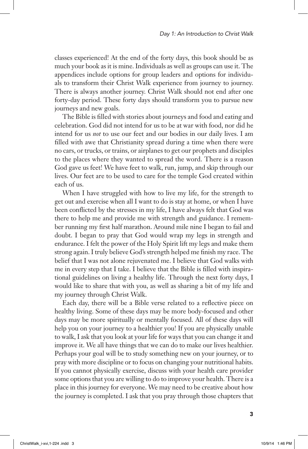classes experienced! At the end of the forty days, this book should be as much your book as it is mine. Individuals as well as groups can use it. The appendices include options for group leaders and options for individuals to transform their Christ Walk experience from journey to journey. There is always another journey. Christ Walk should not end after one forty-day period. These forty days should transform you to pursue new journeys and new goals.

The Bible is filled with stories about journeys and food and eating and celebration. God did not intend for us to be at war with food, nor did he intend for us *not* to use our feet and our bodies in our daily lives. I am filled with awe that Christianity spread during a time when there were no cars, or trucks, or trains, or airplanes to get our prophets and disciples to the places where they wanted to spread the word. There is a reason God gave us feet! We have feet to walk, run, jump, and skip through our lives. Our feet are to be used to care for the temple God created within each of us.

When I have struggled with how to live my life, for the strength to get out and exercise when all I want to do is stay at home, or when I have been conflicted by the stresses in my life, I have always felt that God was there to help me and provide me with strength and guidance. I remember running my first half marathon. Around mile nine I began to fail and doubt. I began to pray that God would wrap my legs in strength and endurance. I felt the power of the Holy Spirit lift my legs and make them strong again. I truly believe God's strength helped me finish my race. The belief that I was not alone rejuvenated me. I believe that God walks with me in every step that I take. I believe that the Bible is filled with inspirational guidelines on living a healthy life. Through the next forty days, I would like to share that with you, as well as sharing a bit of my life and my journey through Christ Walk.

Each day, there will be a Bible verse related to a reflective piece on healthy living. Some of these days may be more body-focused and other days may be more spiritually or mentally focused. All of these days will help you on your journey to a healthier you! If you are physically unable to walk, I ask that you look at your life for ways that you can change it and improve it. We all have things that we can do to make our lives healthier. Perhaps your goal will be to study something new on your journey, or to pray with more discipline or to focus on changing your nutritional habits. If you cannot physically exercise, discuss with your health care provider some options that you are willing to do to improve your health. There is a place in this journey for everyone. We may need to be creative about how the journey is completed. I ask that you pray through those chapters that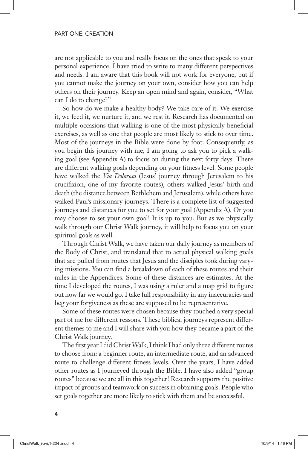are not applicable to you and really focus on the ones that speak to your personal experience. I have tried to write to many different perspectives and needs. I am aware that this book will not work for everyone, but if you cannot make the journey on your own, consider how you can help others on their journey. Keep an open mind and again, consider, "What can I do to change?"

So how do we make a healthy body? We take care of it. We exercise it, we feed it, we nurture it, and we rest it. Research has documented on multiple occasions that walking is one of the most physically beneficial exercises, as well as one that people are most likely to stick to over time. Most of the journeys in the Bible were done by foot. Consequently, as you begin this journey with me, I am going to ask you to pick a walking goal (see Appendix A) to focus on during the next forty days. There are different walking goals depending on your fitness level. Some people have walked the *Via Dolorosa* (Jesus' journey through Jerusalem to his crucifixion, one of my favorite routes), others walked Jesus' birth and death (the distance between Bethlehem and Jerusalem), while others have walked Paul's missionary journeys. There is a complete list of suggested journeys and distances for you to set for your goal (Appendix A). Or you may choose to set your own goal! It is up to you. But as we physically walk through our Christ Walk journey, it will help to focus you on your spiritual goals as well.

Through Christ Walk, we have taken our daily journey as members of the Body of Christ, and translated that to actual physical walking goals that are pulled from routes that Jesus and the disciples took during varying missions. You can find a breakdown of each of these routes and their miles in the Appendices. Some of these distances are estimates. At the time I developed the routes, I was using a ruler and a map grid to figure out how far we would go. I take full responsibility in any inaccuracies and beg your forgiveness as these are supposed to be representative.

Some of these routes were chosen because they touched a very special part of me for different reasons. These biblical journeys represent different themes to me and I will share with you how they became a part of the Christ Walk journey.

The first year I did Christ Walk, I think I had only three different routes to choose from: a beginner route, an intermediate route, and an advanced route to challenge different fitness levels. Over the years, I have added other routes as I journeyed through the Bible. I have also added "group routes" because we are all in this together! Research supports the positive impact of groups and teamwork on success in obtaining goals. People who set goals together are more likely to stick with them and be successful.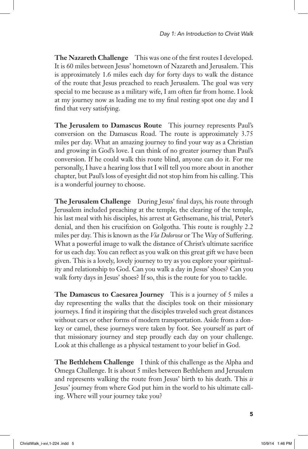**The Nazareth Challenge** This was one of the first routes I developed. It is 60 miles between Jesus' hometown of Nazareth and Jerusalem. This is approximately 1.6 miles each day for forty days to walk the distance of the route that Jesus preached to reach Jerusalem. The goal was very special to me because as a military wife, I am often far from home. I look at my journey now as leading me to my final resting spot one day and I find that very satisfying.

**The Jerusalem to Damascus Route** This journey represents Paul's conversion on the Damascus Road. The route is approximately 3.75 miles per day. What an amazing journey to find your way as a Christian and growing in God's love. I can think of no greater journey than Paul's conversion. If he could walk this route blind, anyone can do it. For me personally, I have a hearing loss that I will tell you more about in another chapter, but Paul's loss of eyesight did not stop him from his calling. This is a wonderful journey to choose.

**The Jerusalem Challenge** During Jesus' final days, his route through Jerusalem included preaching at the temple, the clearing of the temple, his last meal with his disciples, his arrest at Gethsemane, his trial, Peter's denial, and then his crucifixion on Golgotha. This route is roughly 2.2 miles per day. This is known as the *Via Dolorosa* or The Way of Suffering. What a powerful image to walk the distance of Christ's ultimate sacrifice for us each day. You can reflect as you walk on this great gift we have been given. This is a lovely, lovely journey to try as you explore your spirituality and relationship to God. Can you walk a day in Jesus' shoes? Can you walk forty days in Jesus' shoes? If so, this is the route for you to tackle.

**The Damascus to Caesarea Journey** This is a journey of 5 miles a day representing the walks that the disciples took on their missionary journeys. I find it inspiring that the disciples traveled such great distances without cars or other forms of modern transportation. Aside from a donkey or camel, these journeys were taken by foot. See yourself as part of that missionary journey and step proudly each day on your challenge. Look at this challenge as a physical testament to your belief in God.

**The Bethlehem Challenge** I think of this challenge as the Alpha and Omega Challenge. It is about 5 miles between Bethlehem and Jerusalem and represents walking the route from Jesus' birth to his death. This *is* Jesus' journey from where God put him in the world to his ultimate calling. Where will your journey take you?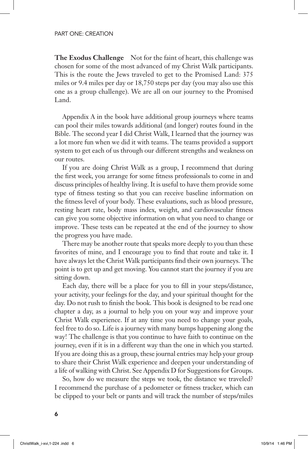The Exodus Challenge Not for the faint of heart, this challenge was chosen for some of the most advanced of my Christ Walk participants. This is the route the Jews traveled to get to the Promised Land: 375 miles or 9.4 miles per day or 18,750 steps per day (you may also use this one as a group challenge). We are all on our journey to the Promised Land.

Appendix A in the book have additional group journeys where teams can pool their miles towards additional (and longer) routes found in the Bible. The second year I did Christ Walk, I learned that the journey was a lot more fun when we did it with teams. The teams provided a support system to get each of us through our different strengths and weakness on our routes.

If you are doing Christ Walk as a group, I recommend that during the first week, you arrange for some fitness professionals to come in and discuss principles of healthy living. It is useful to have them provide some type of fitness testing so that you can receive baseline information on the fitness level of your body. These evaluations, such as blood pressure, resting heart rate, body mass index, weight, and cardiovascular fitness can give you some objective information on what you need to change or improve. These tests can be repeated at the end of the journey to show the progress you have made.

There may be another route that speaks more deeply to you than these favorites of mine, and I encourage you to find that route and take it. I have always let the Christ Walk participants find their own journeys. The point is to get up and get moving. You cannot start the journey if you are sitting down.

Each day, there will be a place for you to fill in your steps/distance, your activity, your feelings for the day, and your spiritual thought for the day. Do not rush to finish the book. This book is designed to be read one chapter a day, as a journal to help you on your way and improve your Christ Walk experience. If at any time you need to change your goals, feel free to do so. Life is a journey with many bumps happening along the way! The challenge is that you continue to have faith to continue on the journey, even if it is in a different way than the one in which you started. If you are doing this as a group, these journal entries may help your group to share their Christ Walk experience and deepen your understanding of a life of walking with Christ. See Appendix D for Suggestions for Groups.

So, how do we measure the steps we took, the distance we traveled? I recommend the purchase of a pedometer or fitness tracker, which can be clipped to your belt or pants and will track the number of steps/miles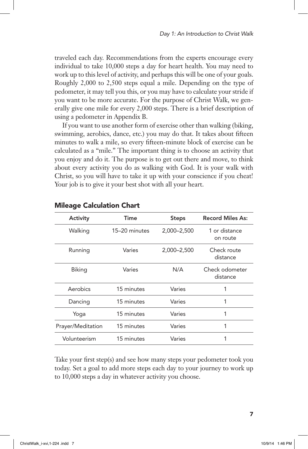traveled each day. Recommendations from the experts encourage every individual to take 10,000 steps a day for heart health. You may need to work up to this level of activity, and perhaps this will be one of your goals. Roughly 2,000 to 2,500 steps equal a mile. Depending on the type of pedometer, it may tell you this, or you may have to calculate your stride if you want to be more accurate. For the purpose of Christ Walk, we generally give one mile for every 2,000 steps. There is a brief description of using a pedometer in Appendix B.

If you want to use another form of exercise other than walking (biking, swimming, aerobics, dance, etc.) you may do that. It takes about fifteen minutes to walk a mile, so every fifteen-minute block of exercise can be calculated as a "mile." The important thing is to choose an activity that you enjoy and do it. The purpose is to get out there and move, to think about every activity you do as walking with God. It is your walk with Christ, so you will have to take it up with your conscience if you cheat! Your job is to give it your best shot with all your heart.

| Activity          | <b>Time</b>   | <b>Steps</b> | <b>Record Miles As:</b>    |
|-------------------|---------------|--------------|----------------------------|
| Walking           | 15–20 minutes | 2,000-2,500  | 1 or distance<br>on route  |
| Running           | Varies        | 2,000-2,500  | Check route<br>distance    |
| <b>Biking</b>     | Varies        | N/A          | Check odometer<br>distance |
| Aerobics          | 15 minutes    | Varies       | 1                          |
| Dancing           | 15 minutes    | Varies       | 1                          |
| Yoga              | 15 minutes    | Varies       | 1                          |
| Prayer/Meditation | 15 minutes    | Varies       | 1                          |
| Volunteerism      | 15 minutes    | Varies       |                            |

## Mileage Calculation Chart

Take your first step(s) and see how many steps your pedometer took you today. Set a goal to add more steps each day to your journey to work up to 10,000 steps a day in whatever activity you choose.